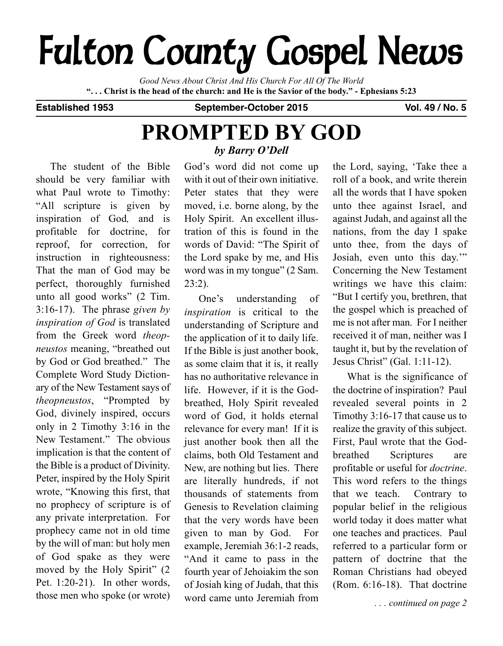# **Fulton County Gospel News**

*Good News About Christ And His Church For All Of The World* "... Christ is the head of the church: and He is the Savior of the body." - Ephesians 5:23

**Established 1953 September-October 2015 Vol. 49 / No. 5**

## **PROMPTED BY GOD** *by Barry O'Dell*

The student of the Bible should be very familiar with what Paul wrote to Timothy: "All scripture is given by inspiration of God*,* and is profitable for doctrine, for reproof, for correction, for instruction in righteousness: That the man of God may be perfect, thoroughly furnished unto all good works" (2 Tim. 3:16-17). The phrase *given by inspiration of God* is translated from the Greek word *theopneustos* meaning, "breathed out by God or God breathed." The Complete Word Study Dictionary of the New Testament says of *theopneustos*, "Prompted by God, divinely inspired, occurs only in 2 Timothy 3:16 in the New Testament." The obvious implication is that the content of the Bible is a product of Divinity. Peter, inspired by the Holy Spirit wrote, "Knowing this first, that no prophecy of scripture is of any private interpretation. For prophecy came not in old time by the will of man: but holy men of God spake as they were moved by the Holy Spirit" (2 Pet. 1:20-21). In other words, those men who spoke (or wrote)

God's word did not come up with it out of their own initiative. Peter states that they were moved, i.e. borne along, by the Holy Spirit. An excellent illustration of this is found in the words of David: "The Spirit of the Lord spake by me, and His word was in my tongue" (2 Sam. 23:2).

One's understanding of *inspiration* is critical to the understanding of Scripture and the application of it to daily life. If the Bible is just another book, as some claim that it is, it really has no authoritative relevance in life. However, if it is the Godbreathed, Holy Spirit revealed word of God, it holds eternal relevance for every man! If it is just another book then all the claims, both Old Testament and New, are nothing but lies. There are literally hundreds, if not thousands of statements from Genesis to Revelation claiming that the very words have been given to man by God. For example, Jeremiah 36:1-2 reads, "And it came to pass in the fourth year of Jehoiakim the son of Josiah king of Judah, that this word came unto Jeremiah from

the Lord, saying, 'Take thee a roll of a book, and write therein all the words that I have spoken unto thee against Israel, and against Judah, and against all the nations, from the day I spake unto thee, from the days of Josiah, even unto this day.'" Concerning the New Testament writings we have this claim: "But I certify you, brethren, that the gospel which is preached of me is not after man. For I neither received it of man, neither was I taught it, but by the revelation of Jesus Christ" (Gal. 1:11-12).

What is the significance of the doctrine of inspiration? Paul revealed several points in 2 Timothy 3:16-17 that cause us to realize the gravity of this subject. First, Paul wrote that the Godbreathed Scriptures are profitable or useful for *doctrine*. This word refers to the things that we teach. Contrary to popular belief in the religious world today it does matter what one teaches and practices. Paul referred to a particular form or pattern of doctrine that the Roman Christians had obeyed (Rom. 6:16-18). That doctrine

*. . . continued on page 2*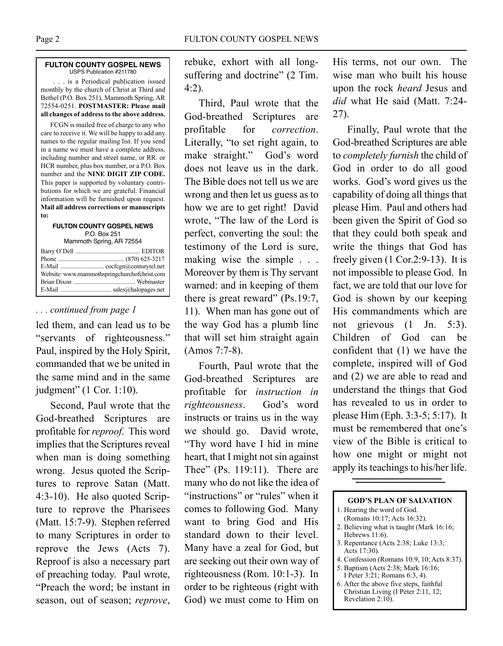#### **FULTON COUNTY GOSPEL NEWS** USPS Publication #211780

. . . is a Periodical publication issued monthly by the church of Christ at Third and Bethel (P.O. Box 251), Mammoth Spring, AR 72554-0251. **POSTMASTER: Please mail all changes of address to the above address.**

FCGN is mailed free of charge to any who care to receive it. We will be happy to add any names to the regular mailing list. If you send in a name we must have a complete address, including number and street name, or RR. or HCR number, plus box number, or a P.O. Box number and the **NINE DIGIT ZIP CODE.** This paper is supported by voluntary contributions for which we are grateful. Financial information will be furnished upon request. **Mail all address corrections or manuscripts to:**

#### **FULTON COUNTY GOSPEL NEWS** P.O. Box 251 Mammoth Spring, AR 72554

|  | Website: www.mammothspringchurchofchrist.com |
|--|----------------------------------------------|
|  |                                              |
|  |                                              |
|  |                                              |

#### *. . . continued from page 1*

led them, and can lead us to be "servants of righteousness." Paul, inspired by the Holy Spirit, commanded that we be united in the same mind and in the same judgment" (1 Cor. 1:10).

Second, Paul wrote that the God-breathed Scriptures are profitable for *reproof*. This word implies that the Scriptures reveal when man is doing something wrong. Jesus quoted the Scriptures to reprove Satan (Matt. 4:3-10). He also quoted Scripture to reprove the Pharisees (Matt. 15:7-9). Stephen referred to many Scriptures in order to reprove the Jews (Acts 7). Reproof is also a necessary part of preaching today. Paul wrote, "Preach the word; be instant in season, out of season; *reprove*, rebuke, exhort with all longsuffering and doctrine" (2 Tim. 4:2).

Third, Paul wrote that the God-breathed Scriptures are profitable for *correction*. Literally, "to set right again, to make straight." God's word does not leave us in the dark. The Bible does not tell us we are wrong and then let us guess as to how we are to get right! David wrote, "The law of the Lord is perfect, converting the soul: the testimony of the Lord is sure, making wise the simple . . . Moreover by them is Thy servant warned: and in keeping of them there is great reward" (Ps.19:7, 11). When man has gone out of the way God has a plumb line that will set him straight again (Amos 7:7-8).

Fourth, Paul wrote that the God-breathed Scriptures are profitable for *instruction in righteousness*. God's word instructs or trains us in the way we should go. David wrote, "Thy word have I hid in mine heart, that I might not sin against Thee" (Ps. 119:11). There are many who do not like the idea of "instructions" or "rules" when it comes to following God. Many want to bring God and His standard down to their level. Many have a zeal for God, but are seeking out their own way of righteousness (Rom. 10:1-3). In order to be righteous (right with God) we must come to Him on

His terms, not our own. The wise man who built his house upon the rock *heard* Jesus and *did* what He said (Matt. 7:24- 27).

Finally, Paul wrote that the God-breathed Scriptures are able to *completely furnish* the child of God in order to do all good works. God's word gives us the capability of doing all things that please Him. Paul and others had been given the Spirit of God so that they could both speak and write the things that God has freely given (1 Cor.2:9-13). It is not impossible to please God. In fact, we are told that our love for God is shown by our keeping His commandments which are not grievous (1 Jn. 5:3). Children of God can be confident that (1) we have the complete, inspired will of God and (2) we are able to read and understand the things that God has revealed to us in order to please Him (Eph. 3:3-5; 5:17). It must be remembered that one's view of the Bible is critical to how one might or might not apply its teachings to his/her life.

#### **GOD'S PLAN OF SALVATION** 1. Hearing the word of God. (Romans 10:17; Acts 16:32).

- 2. Believing what is taught (Mark 16:16; Hebrews 11:6).
- 3. Repentance (Acts 2:38; Luke 13:3; Acts 17:30).
- 4. Confession (Romans 10:9, 10; Acts 8:37).
- 5. Baptism (Acts 2:38; Mark 16:16; I Peter 3:21; Romans 6:3, 4).
- 6. After the above five steps, faithful Christian Living (I Peter 2:11, 12; Revelation 2:10).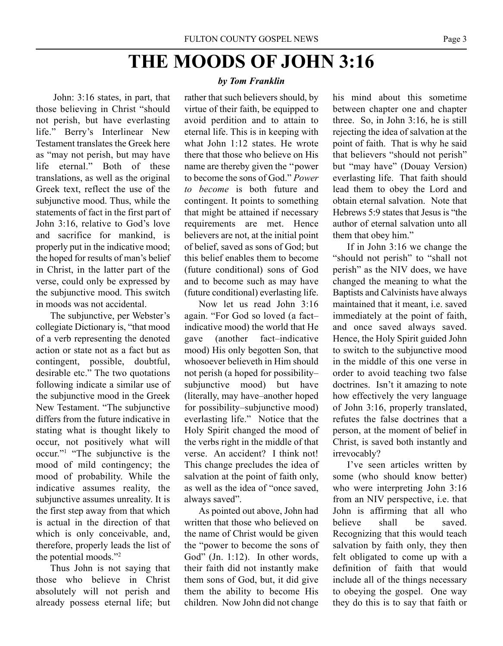## **THE MOODS OF JOHN 3:16**

John: 3:16 states, in part, that those believing in Christ "should not perish, but have everlasting life." Berry's Interlinear New Testament translates the Greek here as "may not perish, but may have life eternal." Both of these translations, as well as the original Greek text, reflect the use of the subjunctive mood. Thus, while the statements of fact in the first part of John 3:16, relative to God's love and sacrifice for mankind, is properly put in the indicative mood; the hoped for results of man's belief in Christ, in the latter part of the verse, could only be expressed by the subjunctive mood. This switch in moods was not accidental.

The subjunctive, per Webster's collegiate Dictionary is, "that mood of a verb representing the denoted action or state not as a fact but as contingent, possible, doubtful, desirable etc." The two quotations following indicate a similar use of the subjunctive mood in the Greek New Testament. "The subjunctive differs from the future indicative in stating what is thought likely to occur, not positively what will occur."1 "The subjunctive is the mood of mild contingency; the mood of probability. While the indicative assumes reality, the subjunctive assumes unreality. It is the first step away from that which is actual in the direction of that which is only conceivable, and, therefore, properly leads the list of the potential moods."2

Thus John is not saying that those who believe in Christ absolutely will not perish and already possess eternal life; but

#### *by Tom Franklin*

rather that such believers should, by virtue of their faith, be equipped to avoid perdition and to attain to eternal life. This is in keeping with what John 1:12 states. He wrote there that those who believe on His name are thereby given the ''power to become the sons of God." *Power to become* is both future and contingent. It points to something that might be attained if necessary requirements are met. Hence believers are not, at the initial point of belief, saved as sons of God; but this belief enables them to become (future conditional) sons of God and to become such as may have (future conditional) everlasting life.

Now let us read John 3:16 again. "For God so loved (a fact– indicative mood) the world that He gave (another fact–indicative mood) His only begotten Son, that whosoever believeth in Him should not perish (a hoped for possibility– subjunctive mood) but have (literally, may have–another hoped for possibility–subjunctive mood) everlasting life." Notice that the Holy Spirit changed the mood of the verbs right in the middle of that verse. An accident? I think not! This change precludes the idea of salvation at the point of faith only, as well as the idea of "once saved, always saved".

As pointed out above, John had written that those who believed on the name of Christ would be given the "power to become the sons of God" (Jn. 1:12). In other words, their faith did not instantly make them sons of God, but, it did give them the ability to become His children. Now John did not change

his mind about this sometime between chapter one and chapter three. So, in John 3:16, he is still rejecting the idea of salvation at the point of faith. That is why he said that believers "should not perish" but "may have" (Douay Version) everlasting life. That faith should lead them to obey the Lord and obtain eternal salvation. Note that Hebrews 5:9 states that Jesus is "the author of eternal salvation unto all them that obey him."

If in John 3:16 we change the "should not perish" to "shall not perish" as the NIV does, we have changed the meaning to what the Baptists and Calvinists have always maintained that it meant, i.e. saved immediately at the point of faith, and once saved always saved. Hence, the Holy Spirit guided John to switch to the subjunctive mood in the middle of this one verse in order to avoid teaching two false doctrines. Isn't it amazing to note how effectively the very language of John 3:16, properly translated, refutes the false doctrines that a person, at the moment of belief in Christ, is saved both instantly and irrevocably?

I've seen articles written by some (who should know better) who were interpreting John 3:16 from an NIV perspective, i.e. that John is affirming that all who believe shall be saved. Recognizing that this would teach salvation by faith only, they then felt obligated to come up with a definition of faith that would include all of the things necessary to obeying the gospel. One way they do this is to say that faith or